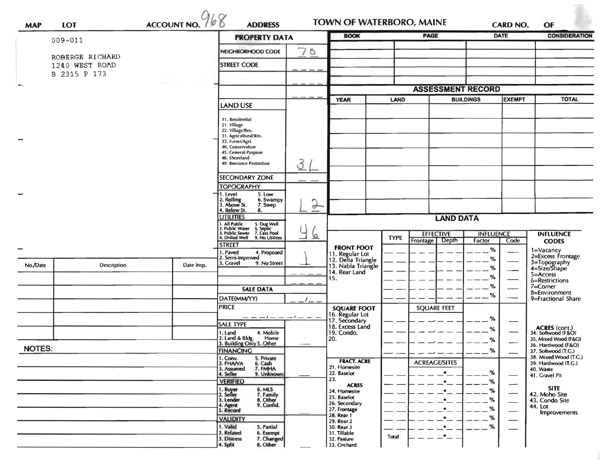| ACCOUNT NO. 768<br><b>LOT</b><br><b>MAP</b><br>$009 - 011$ |                 |            | <b>PROPERTY DATA</b>                                                                                              |               | <b>BOOK</b>                                                 |              |                                      |                                                               | <b>DATE</b> | <b>CONSIDERATION</b>                              |  |
|------------------------------------------------------------|-----------------|------------|-------------------------------------------------------------------------------------------------------------------|---------------|-------------------------------------------------------------|--------------|--------------------------------------|---------------------------------------------------------------|-------------|---------------------------------------------------|--|
|                                                            |                 |            | NEIGHBORHOOD CODE                                                                                                 | 70            |                                                             |              |                                      |                                                               |             |                                                   |  |
|                                                            | ROBERGE RICHARD |            | <b>STREET CODE</b>                                                                                                |               |                                                             |              |                                      |                                                               |             |                                                   |  |
| 1240 WEST ROAD<br>B 2315 P 173                             |                 |            |                                                                                                                   |               |                                                             |              |                                      |                                                               |             |                                                   |  |
|                                                            |                 |            |                                                                                                                   |               |                                                             |              |                                      |                                                               |             |                                                   |  |
|                                                            |                 |            |                                                                                                                   |               | <b>YEAR</b><br>LAND                                         |              |                                      | <b>ASSESSMENT RECORD</b><br><b>EXEMPT</b><br><b>BUILDINGS</b> |             |                                                   |  |
|                                                            |                 |            | LAND USE                                                                                                          |               |                                                             |              |                                      |                                                               |             | <b>TOTAL</b>                                      |  |
|                                                            |                 |            | 11. Residential                                                                                                   |               |                                                             |              |                                      |                                                               |             |                                                   |  |
|                                                            |                 |            | 21. Village<br>22. Village/Res.                                                                                   |               |                                                             |              |                                      |                                                               |             |                                                   |  |
|                                                            |                 |            | 31. Agricultural/Res.<br>33. Forest/Agri.                                                                         |               |                                                             |              |                                      |                                                               |             |                                                   |  |
|                                                            |                 |            | 40. Conservation<br>45. General Purpose                                                                           |               |                                                             |              |                                      |                                                               |             |                                                   |  |
|                                                            |                 |            | 48. Shoreland<br>49. Resource Protection                                                                          | 3             |                                                             |              |                                      |                                                               |             |                                                   |  |
|                                                            |                 |            |                                                                                                                   |               |                                                             |              |                                      |                                                               |             |                                                   |  |
|                                                            |                 |            | <b>SECONDARY ZONE</b><br><b>TOPOGRAPHY</b>                                                                        |               |                                                             |              |                                      |                                                               |             |                                                   |  |
|                                                            |                 |            | . Level<br>5. Low                                                                                                 |               |                                                             |              |                                      |                                                               |             |                                                   |  |
|                                                            |                 |            | 2. Rolling<br>3. Above St.<br>6. Swampy<br>7. Steep<br>4. Below St.                                               | $\rightarrow$ |                                                             |              |                                      |                                                               |             |                                                   |  |
|                                                            |                 |            | 8.<br><b>UTILITIES</b>                                                                                            |               |                                                             |              | <b>LAND DATA</b>                     |                                                               |             |                                                   |  |
|                                                            |                 |            | 1. All Public<br>2. Public Water<br>5. Dug Well<br>6. Septic<br>7. Cess Pool<br>9. No Utilities<br>. Public Sewer |               |                                                             |              |                                      |                                                               |             |                                                   |  |
|                                                            |                 |            | 4. Drilled Well                                                                                                   | $\circ$       |                                                             | <b>TYPE</b>  | <b>EFFECTIVE</b><br>Frontage   Depth | <b>INFLUENCE</b><br>Factor                                    | Code        | <b>INFLUENCE</b><br><b>CODES</b>                  |  |
|                                                            |                 |            | <b>STREET</b><br>1. Paved<br>4. Proposed                                                                          |               | <b>FRONT FOOT</b>                                           |              |                                      | %                                                             |             | 1=Vacancy                                         |  |
| No./Date                                                   | Description     | Date Insp. | 2. Semi-Improved<br>9. No Street<br>3. Gravel                                                                     |               | 11. Regular Lot<br>12. Delta Triangle<br>13. Nabla Triangle |              |                                      | $\%$                                                          |             | 2=Excess Frontage<br>3=Topography<br>4=Size/Shape |  |
|                                                            |                 |            |                                                                                                                   |               | 14. Rear Land                                               |              |                                      | %<br>%                                                        |             | 5=Access                                          |  |
|                                                            |                 |            | <b>SALE DATA</b>                                                                                                  |               | 15.                                                         |              |                                      | %                                                             |             | 6=Restrictions<br>$7 =$ Corner                    |  |
|                                                            |                 |            | DATE(MM/YY)                                                                                                       |               |                                                             |              |                                      | %                                                             |             | 8=Environment<br>9=Fractional Share               |  |
|                                                            |                 |            | <b>PRICE</b>                                                                                                      |               | <b>SQUARE FOOT</b>                                          |              | <b>SQUARE FEET</b>                   |                                                               |             |                                                   |  |
|                                                            |                 |            |                                                                                                                   |               | 16. Regular Lot<br>17. Secondary                            |              |                                      | %                                                             |             |                                                   |  |
|                                                            |                 |            | <b>SALE TYPE</b><br>1. Land<br>4. Mobile                                                                          |               | 18. Excess Land<br>19. Condo.                               |              |                                      | %                                                             |             | ACRES (cont.)<br>34. Softwood (F&O)               |  |
|                                                            |                 |            | 2. Land & Bldg.<br>Home<br>3. Building Only 5. Other                                                              |               | 20.                                                         |              |                                      | %                                                             |             | 35. Mixed Wood (F&O)<br>36. Hardwood (F&O)        |  |
| <b>NOTES:</b>                                              |                 |            | <b>FINANCING</b>                                                                                                  |               |                                                             |              |                                      | %                                                             |             | 37. Softwood (T.G.)                               |  |
|                                                            |                 |            | 1. Conv.<br>2. FHA/VA<br>5. Private<br>6. Cash<br>7. FMHA                                                         |               | <b>FRACT. ACRE</b><br>21. Homesite                          |              | <b>ACREAGE/SITES</b>                 |                                                               |             | 38. Mixed Wood (T.G.)<br>39. Hardwood (T.G.)      |  |
|                                                            |                 |            | 3. Assumed<br>4. Seller<br>9. Unknown                                                                             |               | 22. Baselot                                                 |              | $\bullet$                            | %                                                             |             | 40. Waste<br>41. Gravel Pit                       |  |
|                                                            |                 |            | <b>VERIFIED</b>                                                                                                   |               | 23.<br><b>ACRES</b>                                         |              | $\bullet$                            | %                                                             | —           | <b>SITE</b>                                       |  |
|                                                            |                 |            | 1. Buyer<br>2. Seller<br>6. MLS<br>7. Family<br>3. Lender<br>8. Other                                             |               | 24. Homesite<br>25. Baselot                                 |              | $\bullet$<br>$\bullet$               | %<br>%                                                        |             | 42. Moho Site<br>43. Condo Site                   |  |
|                                                            |                 |            | 9. Confid.<br>4. Agent<br>5. Record                                                                               |               | 26. Secondary<br>27. Frontage                               |              | $\bullet$                            | %                                                             |             | 44. Lot                                           |  |
|                                                            |                 |            | <b>VALIDITY</b>                                                                                                   |               | 28. Rear 1<br>29. Rear 2                                    |              | $\bullet$                            | %                                                             |             | <b>Improvements</b>                               |  |
|                                                            |                 |            | 1. Valid<br>5. Partial<br>2. Related<br>6. Exempt                                                                 |               | 30. Rear 3<br>31. Tillable                                  |              | $\bullet$                            | %                                                             |             |                                                   |  |
|                                                            |                 |            | 3. Distress<br>7. Changed<br>4. Split<br>8. Other                                                                 |               | 32. Pasture                                                 | <b>Total</b> | $\cdot_-$                            |                                                               |             |                                                   |  |